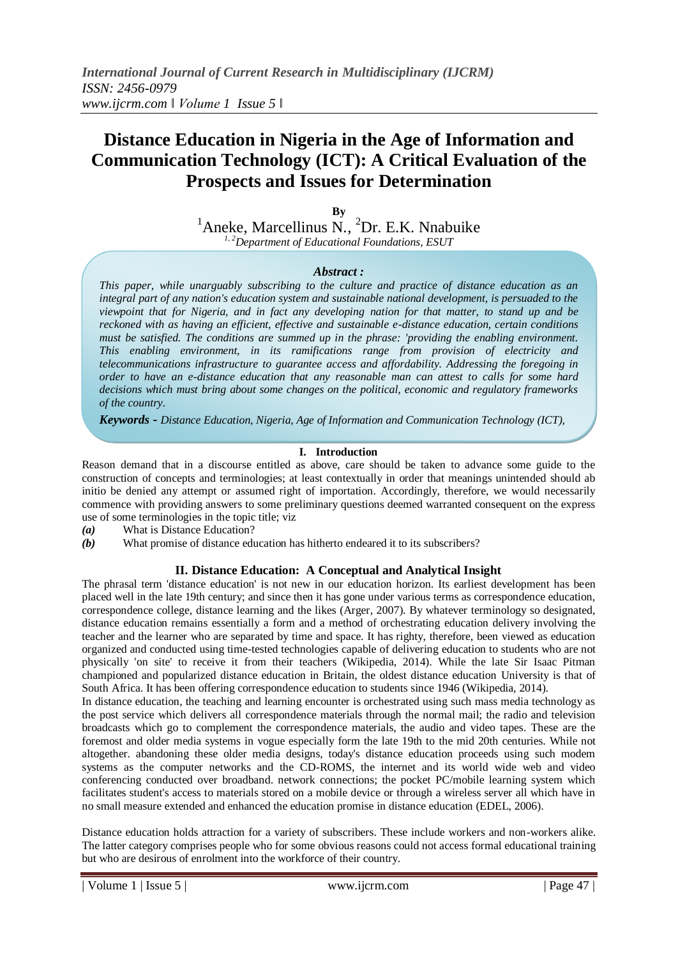# **Distance Education in Nigeria in the Age of Information and Communication Technology (ICT): A Critical Evaluation of the Prospects and Issues for Determination**

**By**

 ${}^{1}$ Aneke, Marcellinus N.,  ${}^{2}$ Dr. E.K. Nnabuike *1, 2Department of Educational Foundations, ESUT*

### *Abstract :*

*This paper, while unarguably subscribing to the culture and practice of distance education as an integral part of any nation's education system and sustainable national development, is persuaded to the viewpoint that for Nigeria, and in fact any developing nation for that matter, to stand up and be reckoned with as having an efficient, effective and sustainable e-distance education, certain conditions must be satisfied. The conditions are summed up in the phrase: 'providing the enabling environment. This enabling environment, in its ramifications range from provision of electricity and telecommunications infrastructure to guarantee access and affordability. Addressing the foregoing in order to have an e-distance education that any reasonable man can attest to calls for some hard decisions which must bring about some changes on the political, economic and regulatory frameworks of the country.*

*Keywords - Distance Education, Nigeria, Age of Information and Communication Technology (ICT),*

### **I. Introduction**

Reason demand that in a discourse entitled as above, care should be taken to advance some guide to the construction of concepts and terminologies; at least contextually in order that meanings unintended should ab initio be denied any attempt or assumed right of importation. Accordingly, therefore, we would necessarily commence with providing answers to some preliminary questions deemed warranted consequent on the express use of some terminologies in the topic title; viz

- *(a)* What is Distance Education?
- *(b)* What promise of distance education has hitherto endeared it to its subscribers?

## **II. Distance Education: A Conceptual and Analytical Insight**

The phrasal term 'distance education' is not new in our education horizon. Its earliest development has been placed well in the late 19th century; and since then it has gone under various terms as correspondence education, correspondence college, distance learning and the likes (Arger, 2007). By whatever terminology so designated, distance education remains essentially a form and a method of orchestrating education delivery involving the teacher and the learner who are separated by time and space. It has righty, therefore, been viewed as education organized and conducted using time-tested technologies capable of delivering education to students who are not physically 'on site' to receive it from their teachers (Wikipedia, 2014). While the late Sir Isaac Pitman championed and popularized distance education in Britain, the oldest distance education University is that of South Africa. It has been offering correspondence education to students since 1946 (Wikipedia, 2014).

In distance education, the teaching and learning encounter is orchestrated using such mass media technology as the post service which delivers all correspondence materials through the normal mail; the radio and television broadcasts which go to complement the correspondence materials, the audio and video tapes. These are the foremost and older media systems in vogue especially form the late 19th to the mid 20th centuries. While not altogether. abandoning these older media designs, today's distance education proceeds using such modem systems as the computer networks and the CD-ROMS, the internet and its world wide web and video conferencing conducted over broadband. network connections; the pocket PC/mobile learning system which facilitates student's access to materials stored on a mobile device or through a wireless server all which have in no small measure extended and enhanced the education promise in distance education (EDEL, 2006).

Distance education holds attraction for a variety of subscribers. These include workers and non-workers alike. The latter category comprises people who for some obvious reasons could not access formal educational training but who are desirous of enrolment into the workforce of their country.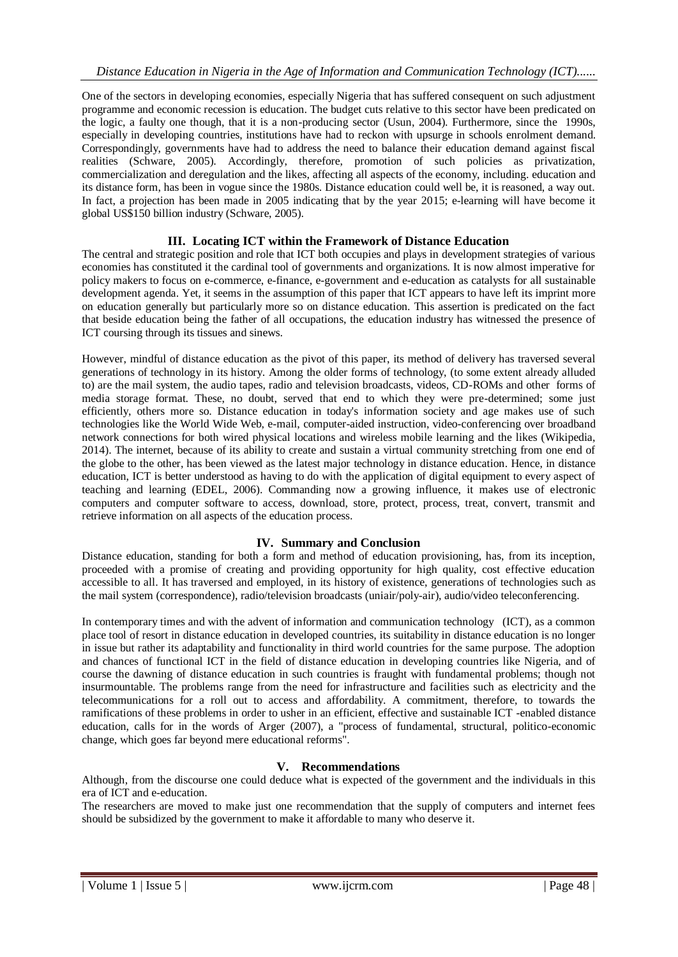One of the sectors in developing economies, especially Nigeria that has suffered consequent on such adjustment programme and economic recession is education. The budget cuts relative to this sector have been predicated on the logic, a faulty one though, that it is a non-producing sector (Usun, 2004). Furthermore, since the 1990s, especially in developing countries, institutions have had to reckon with upsurge in schools enrolment demand. Correspondingly, governments have had to address the need to balance their education demand against fiscal realities (Schware, 2005). Accordingly, therefore, promotion of such policies as privatization, commercialization and deregulation and the likes, affecting all aspects of the economy, including. education and its distance form, has been in vogue since the 1980s. Distance education could well be, it is reasoned, a way out. In fact, a projection has been made in 2005 indicating that by the year 2015; e-learning will have become it global US\$150 billion industry (Schware, 2005).

#### **III. Locating ICT within the Framework of Distance Education**

The central and strategic position and role that ICT both occupies and plays in development strategies of various economies has constituted it the cardinal tool of governments and organizations. It is now almost imperative for policy makers to focus on e-commerce, e-finance, e-government and e-education as catalysts for all sustainable development agenda. Yet, it seems in the assumption of this paper that ICT appears to have left its imprint more on education generally but particularly more so on distance education. This assertion is predicated on the fact that beside education being the father of all occupations, the education industry has witnessed the presence of ICT coursing through its tissues and sinews.

However, mindful of distance education as the pivot of this paper, its method of delivery has traversed several generations of technology in its history. Among the older forms of technology, (to some extent already alluded to) are the mail system, the audio tapes, radio and television broadcasts, videos, CD-ROMs and other forms of media storage format. These, no doubt, served that end to which they were pre-determined; some just efficiently, others more so. Distance education in today's information society and age makes use of such technologies like the World Wide Web, e-mail, computer-aided instruction, video-conferencing over broadband network connections for both wired physical locations and wireless mobile learning and the likes (Wikipedia, 2014). The internet, because of its ability to create and sustain a virtual community stretching from one end of the globe to the other, has been viewed as the latest major technology in distance education. Hence, in distance education, ICT is better understood as having to do with the application of digital equipment to every aspect of teaching and learning (EDEL, 2006). Commanding now a growing influence, it makes use of electronic computers and computer software to access, download, store, protect, process, treat, convert, transmit and retrieve information on all aspects of the education process.

#### **IV. Summary and Conclusion**

Distance education, standing for both a form and method of education provisioning, has, from its inception, proceeded with a promise of creating and providing opportunity for high quality, cost effective education accessible to all. It has traversed and employed, in its history of existence, generations of technologies such as the mail system (correspondence), radio/television broadcasts (uniair/poly-air), audio/video teleconferencing.

In contemporary times and with the advent of information and communication technology (ICT), as a common place tool of resort in distance education in developed countries, its suitability in distance education is no longer in issue but rather its adaptability and functionality in third world countries for the same purpose. The adoption and chances of functional ICT in the field of distance education in developing countries like Nigeria, and of course the dawning of distance education in such countries is fraught with fundamental problems; though not insurmountable. The problems range from the need for infrastructure and facilities such as electricity and the telecommunications for a roll out to access and affordability. A commitment, therefore, to towards the ramifications of these problems in order to usher in an efficient, effective and sustainable ICT -enabled distance education, calls for in the words of Arger (2007), a "process of fundamental, structural, politico-economic change, which goes far beyond mere educational reforms".

#### **V. Recommendations**

Although, from the discourse one could deduce what is expected of the government and the individuals in this era of ICT and e-education.

The researchers are moved to make just one recommendation that the supply of computers and internet fees should be subsidized by the government to make it affordable to many who deserve it.